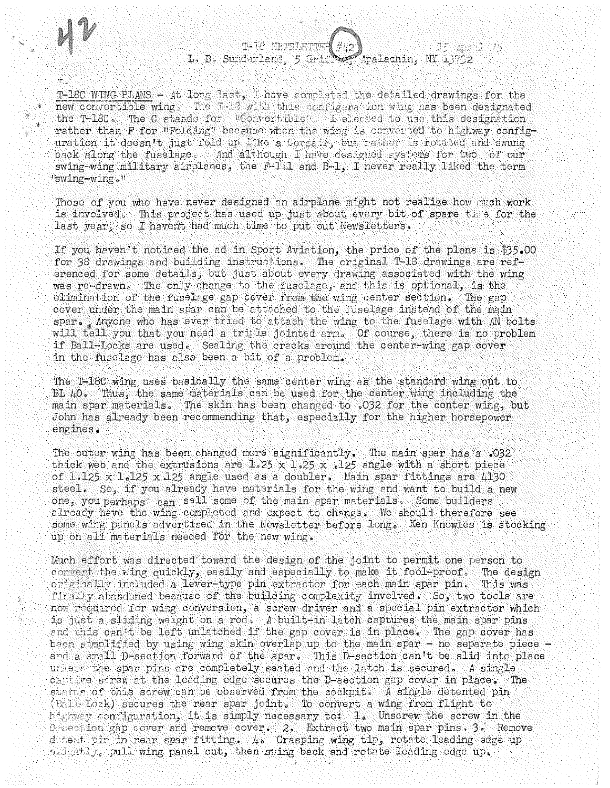

T-18C WING PLANS - At long last, I have completed the detailed drawings for the new convertible wing, The T. C with this conjugate for wing has been designated the T-180. The C stards for "Contecticies" i elected to use this designation rather than F for "Folding" because when the wing is converted to highway configuration it doesn't just fold up like a Corsair, but rather is rotated and swung back along the fuselage. And although I have designed systems for two of our swing-wing military airplanes, the F-111 and B-1, I never really liked the term "swing-wing."

Those of you who have never designed an airplane might not realize how much work is involved. This project has used up just about every bit of spare the for the last year, so I haven't had much time to put out Newsletters.

If you haven't noticed the ad in Sport Aviation, the price of the plans is \$35.00 for 38 drawings and building instructions. The original T-18 drawings are referenced for some details, but just about every drawing associated with the wing was re-drawn. The only change to the fuselage, and this is optional, is the elimination of the fuselege gap cover from the wing center section. The gap cover under the main spar can be attached to the fuselage instead of the main spar. Anyone who has ever tried to attach the wing to the fuselage with AN bolts will tell you that you need a triple jointed arm. Of course, there is no problem if Ball-Locks are used. Sealing the cracks around the center-wing gap cover in the fuselage has also been a bit of a problem.

The T-18C wing uses basically the same center wing as the standard wing out to BL 40. Thus, the same materials can be used for the center wing including the main spar materials. The skin has been changed to .032 for the conter wing, but John has already been recommending that, especially for the higher horsepower engines.

The outer wing has been changed more significantly. The main spar has a .032 thick web and the extrusions are  $1.25 \times 1.25 \times .125$  angle with a short piece of  $1.125 \times 1.125 \times 125$  angle used as a doubler. Main spar fittings are 4130 steel. So, if you already have materials for the wing and want to build a new one, you perhaps can sall some of the main spar materials. Some builders already have the wing completed and expect to change. We should therefore see some wing panels advertised in the Newsletter before long. Ken Knowles is stocking up on all materials needed for the new wing.

Much effort was directed toward the design of the joint to permit one person to convert the ving quickly, easily and especially to make it fool-proof. The design originally included a lever-type pin extractor for each main spar pin. This was finally abandoned because of the building complexity involved. So, two tools are now required for wing conversion, a screw driver and a special pin extractor which is just a sliding weight on a rod. A built-in latch captures the main spar pins and this can't be left unlatched if the gap cover is in place. The gap cover has been simplified by using wing skin overlap up to the main spar - no separate piece and a small D-section forward of the spar. This D-section can't be slid into place unless the spar pins are completely seated and the latch is secured. A single capplies screw at the leading edge secures the D-section gap cover in place. The status of this screw can be observed from the cockpit. A single detented pin (Ball-Lock) secures the rear spar joint. To convert a wing from flight to https://www.configuration, it is simply necessary to: l. Unscrew the screw in the Desection gap cover and remove cover. 2. Extract two main spar pins. 3. Remove detect pin in rear spar fitting. 4. Grasping wing tip, rotate leading edge up sidgatily, pull wing panel out, then sting back and rotate leading edge up.

A)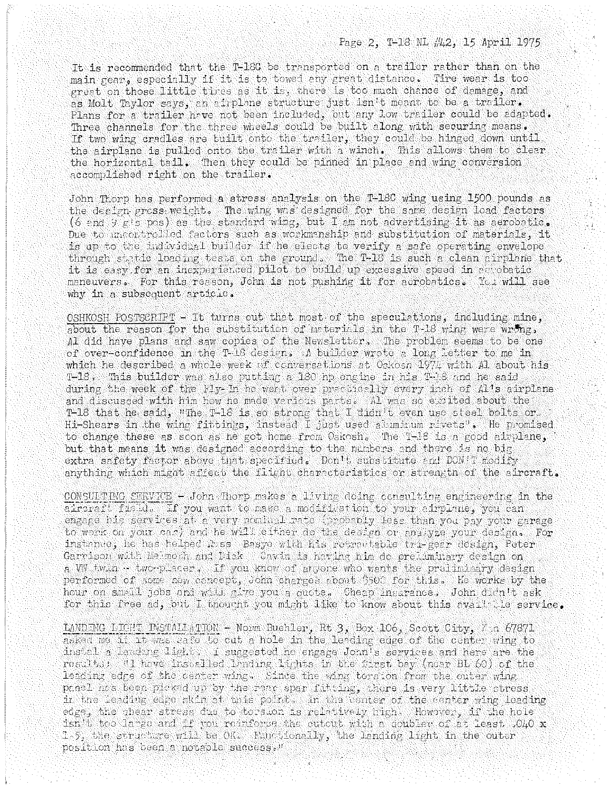ġ

永

It is recommended that the T-180 be transported on a trailer rather than on the main gear, especially if it is to towed any great distance. Tire wear is too great on those little tires as it is, there is too much chance of damage, and as Molt Taylor says, an airplane structure just isn't meant to be a trailer. Plans for a trailer have not been included, but any low trailer could be adapted. Three channels for the three wheels could be built along with securing means. If two wing cradles are tuilt onto the trailer, they could be hinged down until. the airplane is pulled onto the trailer with a winch. This allows them to clear the horizontal tail. Then they could be pinned in place and wing conversion accomplished right on the trailer.

John Thorp has performed a stress analysis on the T-18C wing using 1500 pounds as the design gross weight. The wing was designed for the same design load factors (6 and 9  $F$ 's pos) as the standard wing, but I am not advertising it as aerobatic. Due to uncertrolled factors such as workmanship and substitution of materials, it is up to the individual builder if he elects to verify a safe operating envelope through static loading tests on the ground. The T-18 is such a clean airplane that it is easy for an inexperienced pilot to build up excessive speed in as obatic maneuvers. For this reason, John is not pushing it for aerobatics. You will see why in a subsequent article.

OSHKOSH POSTSCRIPT - It turns out that most of the speculations, including mine, about the reason for the substitution of meterials in the T-18 wing were wrong, Al did have plans and saw copies of the Newsletter, The problem seems to be one of over-confidence in the T-18 design. A builder wrote a long letter to me in which he described a whole week of conversations at Oskosn 1974 with Al about his T-18. This builder was also putting a 180 hp engine in his T-18 and he said during the week of the Fly- In he went over practically every inch of Al's airplane and discussed with him how he made verious parts. Al was so excited about the T-18 that he said, "The T-18 is so strong that I didn't even use steel bolts or. Hi-Shears in the wing fittings, instead I just used aluminum rivets". He promised to change these as scon as he got home from Oskosh. The T-18 is a good airplane, but that means it was designed according to the numbers and there is no big extra safety factor above that specified. Don't substitute and DON'T modify anything which might affect the flight characteristics or strength of the aircraft.

CONSULTING SERVICE - John Thorp makes a living doing consulting engineering in the aircraft Tisld. If you want to make a modification to your simplane, you can engage his services at a very nominal rate (probably less than you pay your garage to work on your car) and he will either do the design or analyze your design. For instance, he has helped lass Besye with his retractable tri-gear design, Peter Garmison with Meanoth and Dick Cavin is nating him do prefundiary design on a WW twin -- two-placer. If you know of anyone who wants the preliminary design performed of some new concept, John charges about 3500 for this. He works by the hour on small jobs and will give you a oucte. Cheap insurance. John didn't ask for this free ad, but I thought you might like to know about this availt. Ie service.

LANDING LIGHT INSTALLATION - Norm Buehler, Rt 3, Box 106, Scott City, Kin 67871 asked me if it was cafe to cut a hole in the leading edge of the center wing to instal a landing light. I suggested he engage John's services and here are the results: "I have installed landing lights in the first bay (near BL 60) of the leading edge of the center wing. Since the wing torsion from the outer wing panel has been picked up by the reac spar fitting, there is very little stress in the leading edge skin at this point. In the center of the center wing leading edge, the shear stress due to torsion is relatively high. However, if the hole isn't too large and if you reduforse the cutout with a doubler of at least .040 x 1.5, the structure will be OK. Himotionally, the landing light in the outer position has been a notable success."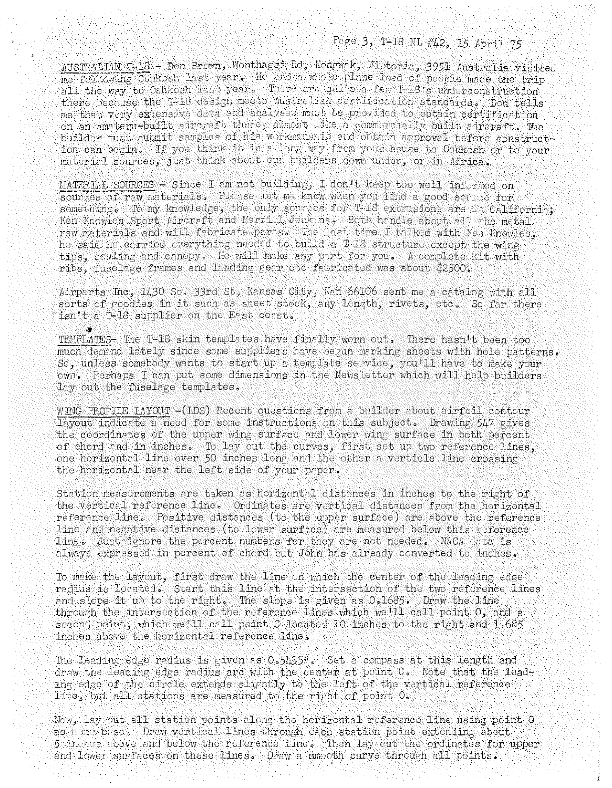## Page 3, T-18 ML #42, 15 April 75

AUSTRALIAN T-18 - Don Brown, Wonthaggi Rd, Kongwak, Vistoria, 3951 Australia visited me following Oshkosh last year. He and a whole plane load of people made the trip all the way to Oshkosh last year. There are quite a few T-18's underconstruction there because the 1-18 design meets Australian certification standards. Don tells me that very extensive data and analyses mad be provided to obtain certification on an amateru-built aircraft there, almost like a commercially built aircraft. The builder must submit samples of his workernship and obtain approval before construction can begin. If you think it is a long way from your house to Oshkosh or to your material sources, just think about our builders down under, or in Africa.

MATERIAL SOURCES - Since I am not building, I don't keep too well informed on sources of raw materials. Place let me know when you find a good some of for something. To my knowledge, the only sources for T-18 extrasions are in California; Ken Knowles Sport Aircreft and Merrill Jenkins. Both handle about all the metal raw materials and will fabricate parts. The last time I talked with Nen Knowles, he said he carried everything needed to build a T-18 structure except the wing tips, cowling and canopy. He will make any part for you. A complete kit with ribs, fuselage frames and landing gear etc fabricated was about \$2500.

Airparts Inc. 1430 So. 33rd St. Kansas City, Kan 66106 sent me a catalog with all sorts of goodies in it such as sheet stock, any length, rivets, etc. So far there isn't a T-16 supplier on the East coast.

TEMPLATES- The T-18 skin templates have finally wern out. There hasn't been too much demand lately since some suppliers have began marking sheets with hole patterns. So. unless somebody wants to start up a template service, you'll have to make your own. Perhaps I can put some dimensions in the Newsletter which will help builders lay out the fuselage templates.

WING PROFILE LAYOUT - (LDS) Recent questions from a builder about airfoil contour layout indicate a need for some instructions on this subject. Drawing 547 gives the coordinates of the upper wing surface and lower wing surface in both percent of chord and in inches. To lay out the curves, first set up two reference lines, one horizontal line over 50 inches long and the other a verticle line crossing the horizontal near the left side of your paper.

Station measurements are taken as horizontal distances in inches to the right of the vertical reference line. Ordinates are vertical distances from the horizontal reference line. Positive distances (to the upper surface) are above the reference line and negative distances (to lower surface) are measured below this neference line. Just ignore the percent numbers for they are not needed. NACA at is always expressed in percent of chord but John has already converted to inches.

To make the layout, first draw the line on which the center of the leading edge radius is located. Start this line at the intersection of the two reference lines and slope it up to the right. The slope is given as 0.1685. Draw the line through the intersection of the reference lines which we'll call point 0, and a second point, which we'll call point C located 10 inches to the right and 1.685 inches above the horizontal reference line.

The leading edge redius is given as 0.5435". Set a compass at this length and draw the leading edge radius are with the center at point C. Note that the leading edge of the circle extends slightly to the left of the vertical reference line, but all stations are measured to the right of point O.

Now, lay out all station points along the horizontal reference line using point O as home base. Draw vertical lines through each station point extending about 5 inches above and below the reference line. Then lay out the ordinates for upper and lower surfaces on these lines. Draw a smooth curve through all points.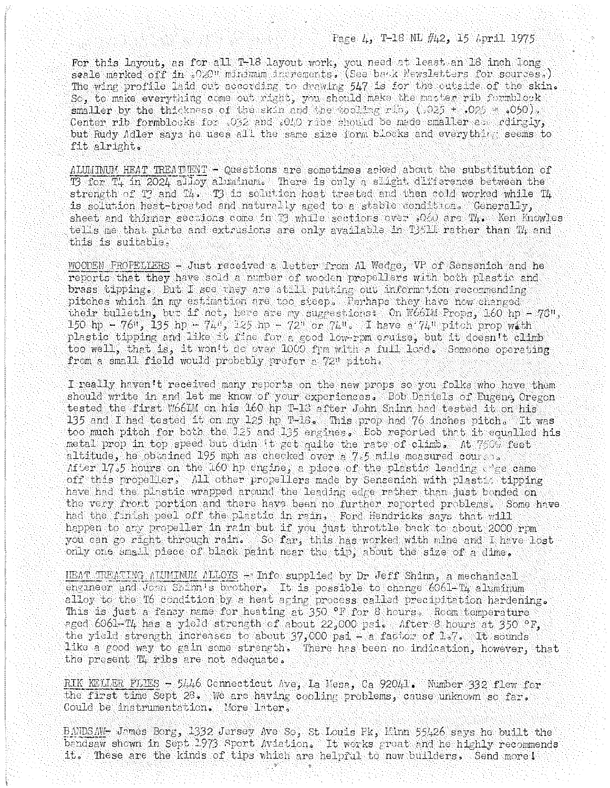## Page 4, T-18 NL #42, 15 April 1975

For this layout, as for all T-18 layout work, you need at least an 18 inch long seale marked off in .020" minimum increments. (See back Newsletters for sources.) The wing profile laid out according to drawing 547 is for the outside of the skin. So, to make everything come out right, you should make the master rib formblook smaller by the thickness of the skin and the tooling rin,  $(.025 + .025 = .050)$ . Center rib formblocks for .032 and .010 ribs should be made smaller as rdingly, but Rudy Adler says he uses all the same size form blocks and everything seems to fit alright.

ALUMINUM HEAT TREATUENT - Questions are sometimes asked about the substitution of To for T4 in 2024 alloy aluminum. There is only a slight difference between the strength of T? and T4. T3 is solution heat treated and then cold worked while T4 is solution heat-treated and naturally aged to a stable condition. Generally, sheet and thinner sections come in T3 while sections over .060 are T4. Ken Knowles tells me that plate and extrusions are only available in TJ511 rather than Tl and this is suitable.

WOODEN PROFELIERS - Just received a letter from Al Wedge, VP of Sensenich and he reports that they have sold a number of wooden propellers with both plastic and brass tipping. But I see they are still putting out information recommending pitches which in my estimation are too steep. Perhaps they have now changed their bulletin, but if not, here are my suggestions: On W66LM Props, 160 hp - 78", 150 hp - 76", 135 hp - 74", 125 hp - 72" or 74". I have a 74" pitch prop with plastic tipping and like it fine for a good low-rpm cruise, but it doesn't climb too well, that is, it won't do over 1000 frm with a full load. Someone operating from a small field would probably prefer a 72" pitch.

I really haven't received many reports on the new props so you folks who have them should write in and let me know of your experiences. Bob Daniels of Eugene Oregon tested the first W66LM on his 160 hp T-18 after John Shinn had tested it on his 135 and I had tested it on my 125 hp T-16. This prop had 76 inches pitch. It was too much pitch for both the J25 and 135 engines. Bob reported that it equalled his metal prop in top speed but didn 't get quite the rate of climb. At 7509 feet altitude, he obtained 195 mph as checked over a  $7.5$  mile measured course. After 17.5 hours on the 160 hp engine, a piece of the plastic leading the came off this propeller. All other propellers made by Sensenich with plasts tipping have had the plastic wrapped around the leading edge rather than just bonded on the very front portion and there have been no further reported problems. Some have had the finish peel off the plastic in rain, Ford Hendricks says that will happen to any propeller in rain but if you just throttle back to about 2000 rpm you can go right through rain. So far, this has worked with mine and I have lost only one small piece of black paint near the tip, about the size of a dime.

HEAT TREATING ALUMINUM ALLOYS - Info supplied by Dr Jeff Shinn, a mechanical engineer and John Shinn's brother. It is possible to change 6061-T4 aluminum alloy to the T6 condition by a heat aging process called precipitation hardening. This is just a fancy name for heating at 350 °F for 8 hours. Room temperature aged 6061-T4 has a yield strength of about 22,000 psi. After 8 hours at 350 °F, the yield strength increases to about  $37,000$  psi - a factor of 1.7. It sounds like a good way to gain some strength. There has been no indication, however, that the present T4 ribs are not adequate.

RIK KELLER FLIES - 5446 Connecticut Ave, La Mesa, Ca 92041. Number 332 flew for the first time Sept 28. We are having cooling problems, cause unknown so far. Could be instrumentation. More later.

BANDSAW- James Borg, 1332 Jersey Ave So, St Louis Pk, Minn 55426 says he built the bandsaw shown in Sept 1973 Sport Aviation. It works great and he highly recommends it. These are the kinds of tips which are helprul to new builders. Send more!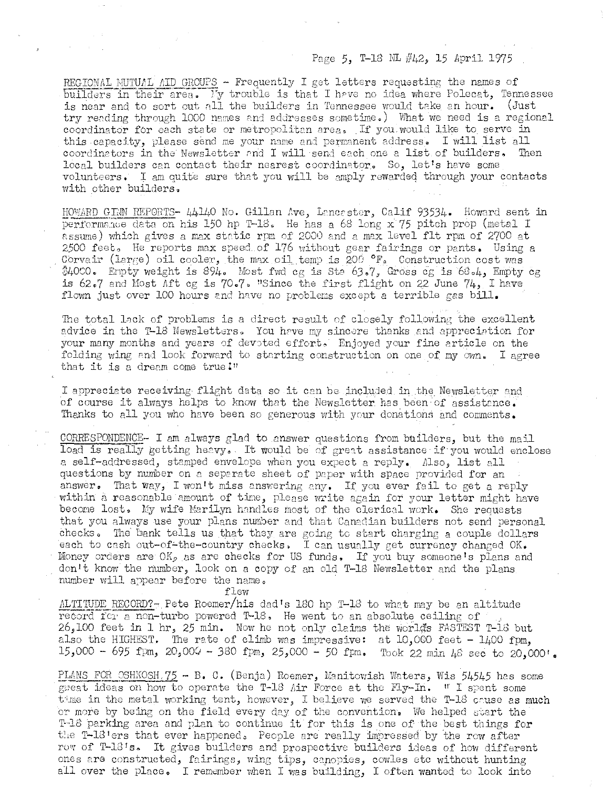## Page 5, T-1S NL #42, 15 April 1975

REGIONAL MUTUAL AID GROUPS - Frequently I get letters requesting the names of builders in their area. My trouble is that I have no idea where Polecat, Tennessee is near and to sort out all the builders in Tennessee would take an hour. (Just try reading through 1000 names and addresses sometime.) What we need is a regional coordinator for each state or metropolitan area. If you would like to serve in this capacity, please send me your name and permanent address. I will list all coordinators in the Newsletter and I will send each one a list of builders. Then coordinators in the Newsletter and I will send each one a list of builders. local builders can contact their nearest coordinator. So, let's have some volunteers. I am quite sure that you will be amply rewarded through your contacts with other builders,

HOWARD GIMN REPORTS- 44140 No. Gillan Ave, Lancaster, Calif 93534. Howard sent in performance data on his 150 hp T-18. He has a 68 long x'75 pitch prop (metal I assume) which gives a max static rpm of 2000 and a max level flt rpm of 2700 at 2500 feet. He reports max speed of  $176$  without gear fairings or pants. Using a Corvair (large) oil cooler, the max oil temp is 200  $\degree$ F. Construction cost was  $$40$ CO. Empty weight is 894. Most fwd cg is Ste 63.7, Gross cg is 68.4, Empty cg is 62.7 and Most Aft cg is 70.7. "Since the first flight on 22 June 74, I have flown just over 100 hours and have no problems except a terrible gas bill.

The total lack of problems is a direct result of closely following the excellent advice in the T-18 Newsletters. You have my sincere thanks and appreciation for your many months and years of devoted effort. Enjoyed your fine article on the folding wing and look forward to starting construction on one of my own. I agree that it is a dream come true  $1$ "

I appreciate receiving flight data so it can be included in the Newsletter and of course it always helps to know that the Newsletter has been of assistance. Thanks to all you who have been so generous with your donations and comments.

 $CORRESPONDENCE-$  I am always glad to answer questions from builders, but the mail load is really getting heavy. It would be of great assistance if you would enclose a self-addressed, stamped envelope when you expect a reply. Also, list all questions by number on *a* separate sheet of paper with space provided for an answer. That way, I won't miss answering any. If you ever fail to get a reply within a reasonable amount of time, please write again for your letter might have becone lost, lIy wife Harilyn handles most of the clerical work. She requests that you always use your plans number and that Canadian builders not send personal checks. The bank tells us that they are going to start charging a couple dollars each to cash out-of-the-country checks. I can usually get currency changed OK. Money orders are  $OK_{p}$  as are checks for US funds. If you buy someone's plans and don't know the number, look on a copy of an old T-18 Newsletter and the plans nunber will appear before the name.

flew

 $\text{ALTTTUDE}$  RECORD?- Pete Roemer/his dad's 180 hp T-18 to what may be an altitude record for a non-turbo powered T-18. He went to an absolute ceiling of 26,100 feet in 1 hr, 25 min. Now he not only claims the worlds FASTEST T-18 but also the HIGHEST. The rate of climb was impressive: at  $10,000$  feet -  $1400$  fpm, 15,000 - 695 fpm,  $20,000 - 380$  fpm,  $25,000 - 50$  fpm. Took 22 min 48 sec to 20,000'.

PLANS FOR OSHXOSH.75 - B. C. (Benja) Roemer, Manitowish Waters, Wis 54545 has some geeat ideas on how to operate the T-18 Air Force at the Fly-In. I I spent some time in the metal working tent, however, I believe we served the T-18 cause as much or more by being on the field every day of the convention. We helped start the T-18 parking area and plan to continue it for this is one of the best things for the T-18'ers that ever happened, People are really impressed by the row after row of T-13's. It gives builders and prospective builders ideas of how different ones are constructed, fairings, wing tips, capopies, cowles etc without hunting all over the place. I remember when I was building, I often wanted to look into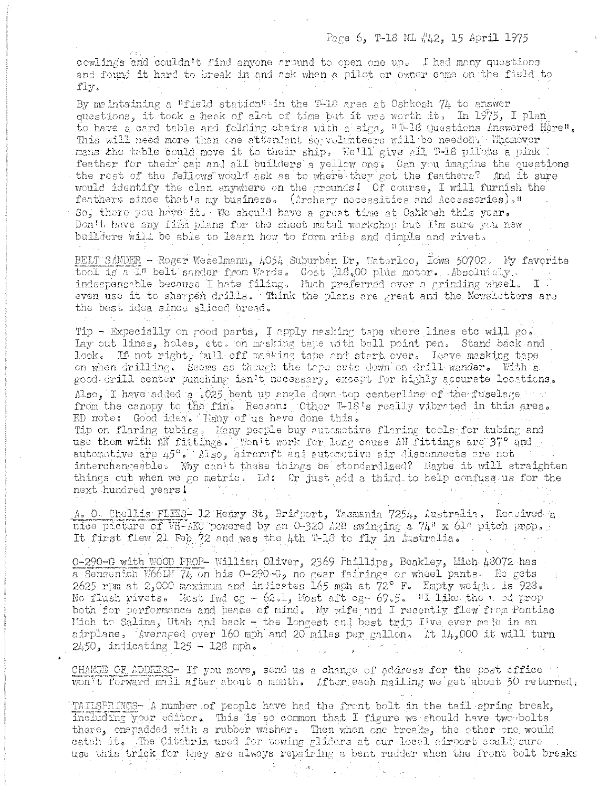cowlings and couldn't find anyone ground to open one up. I had many questions and found it hard to break in and ask when a pilot or owner came on the field to fly.

By meintaining a "field station" in the T-18 area at Oshkosh 74 to answer questions, it took a heak of alot of time but it was worth it, In 1975, I plan to have a card table and folding chairs with a sign. "1-18 Questions Answered Here". This will need more than one attendant so volunteers will be needed. Whomever mans the table could move it to their ship. We'll give all T-18 pilots a pink feather for their cap and all builders a yellow one. Can you imagine the questions the rest of the fellows would ask as to where they got the feathers? And it sure would identify the clan anywhere on the grounds! Of course, I will furnish the feathers since that's my business. (Archery nacessities and Accessories)." So, there you have it. We should have a great time at Oshkosh this vear. Don't have any firm plans for the sheet metal workshop but I'm sure you new builders will be able to learn how to form ribs and dimple and rivet.

BELT SANDER - Roger Weselmann, 4054 Suburban Dr, Waterloo, Iowa 50702. My favorite tool is a I" belt sander from Wards. Cost 18.00 plus motor. Absolutely, even use it to sharpen drills. Think the plans are great and the Newsletters are the best idea since sliced bread.

Tip - Expecially on good parts, I apply mesking tape where lines etc will go. Lay out lines, holes, etc. on mosking take with ball point pen. Stand back and look. If not right, pull off masking tape and start over. Leave masking tape on when drilling. Seems as though the tape cuts down on drill wander. With a good-drill center punching isn't necessary, except for highly accurate locations. Also, I have added a .025 bent up angle down top centerline of the fuselage from the canopy to the fin. Reason: Other T-18's really vibrated in this area. ED note: Good idea. Hany of us have done this. Tip on flaring tubing, Many people buy automotive flaring tools for tubing and use them with AN fittings. Won't work for long cause AN fittings are 37° and automotive are 45°, Also, aircraft and automotive air disconnects are not interchangeable. Why can't these things be standardized? Maybe it will straighten things out when we go metric. Ed: Or just add a third to help confuse us for the next hundred years!

A. O. Chellis FLIES- 12 Henry St, Bridport, Tesmania 7254, Australia. Received a nice picture of VH-AKC powered by an 0-320 A2B swinging a 74" x 61" pitch prop. It first flew 21 Feb 72 and was the 4th T-16 to fly in Australia.

0-290-G with WOOD PROP- William Oliver, 2369 Phillips, Beakley, Mich 43072 has a Sensenich W661M 74 on his 0-290-G, no gear fairings or wheel pants. He gets 2625 rpm at 2,000 maximum and indicates 165 mph at  $72^{\circ}$  F. Empty weight is  $928$ . No flush rivets. Most fwd cg - 62.1, Most aft cg - 69.5. "I like the mod prop both for performance and peace of mind. My wife and I recently flew from Pontiac Hich to Salina, Utah and back - the longest and best trip I've ever made in an airplane. Averaged over 160 mph and 20 miles per gallon. At 14,000 it will turn  $2450$ , indicating  $125 - 128$  mph.

CHANGE OF ADDRESS- If you move, send us a change of address for the post office won't forward mail after about a month. After each mailing we get about 50 returned.

TAILSPRINGS- A number of people have had the front bolt in the tail spring break. including your editor. This is so common that I figure we should have two bolts there, onepadded with a rubber washer. Then when one breaks, the other one would catch it. The Citabria used for towing gliders at our local airport could sure use this trick for they are always repairing a bent rudder when the front bolt breaks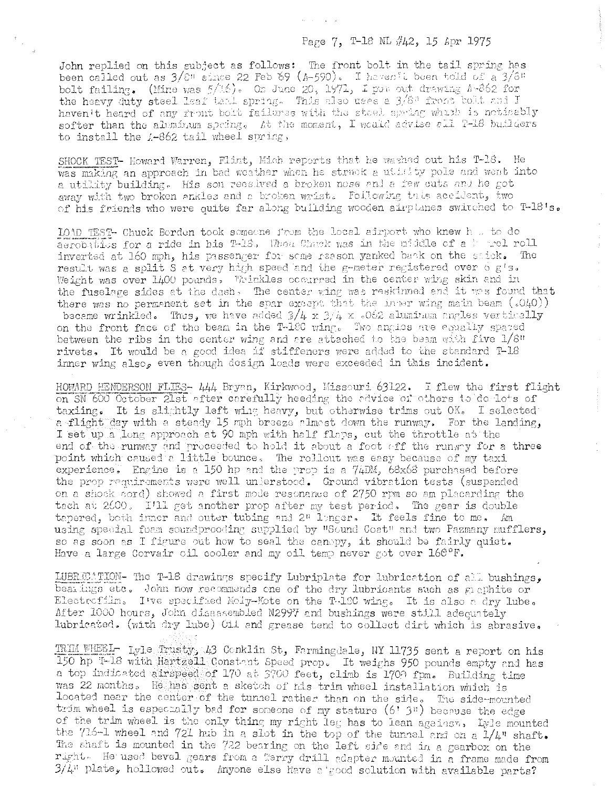## Page 7, T-18 NL #42, 15 Apr 1975

John replied on this subject as follows: The front bolt in the tail spring has been called out as  $3/8$ <sup>"</sup> since 22 Feb 69 (A-590). I haven't been told of a  $3/8$ " bolt failing. (Mine was  $5/16$ ). On June 20, 1971, I put out drawing A-862 for the heavy duty steel leaf tend spring. This also uses a 3/8" from both and I haven't heard of any front bolt failures with the steel spring which is noticebly softer than the aleminum spring. At the moment, I would advise all T-18 builders to install the A-862 tail wheel spring,

SHOCK TEST- Howard Warren, Flint, Mich reports that he washed out his T-18. He was making an approach in bad weather when he struck a utility pole and went into a utility building. His son received a broken nose and a few cuts and he got away with two broken ankles and a broken wrist. Following this accident, two of his friends who were quite far along building wooden airplanes switched to T-18's.

LOAD TEST- Chuck Berden took someone from the local afruort who knew h .. to do aerobatiles for a ride in his T-16. When Chuck was in the middle of a horel roll inverted at 160 mph, his passenger for some reason yanked back on the stick. The result was a split S at very high speed and the g-meter registered over 6 g's. Weight was over 1400 pounds. Wrinkles occurred in the center wing skin and in the fuselage sides at the dash, The center wing was reskinned and it was found that there was no permanent set in the spar except that the inper wing main beam  $(.040))$ became wrinkled. Thus, we have added  $3/4 \times 3/4 \times 0.062$  aluminum angles vertically on the front face of the beam in the T-160 wing. Two angles are equally spaced between the ribs in the center wing and are attached to the beam with five 1/8" rivets, It would be a good idea if stiffeners were added to the standard T-18 inner wing also, even though design loads were exceeded in this incident.

HOWARD HENDERSON FLIES- 444 Bryan, Kirkwood, Missouri 63122. I flew the first flight on SN 600 October 21st after carefully heeding the advice of others to do lots of taxiing. It is slightly left wing heavy, but otherwise trims out OK. I selected a flight day with a steady 15 mph breege almost down the runway. For the landing, I set up a long approach at 90 mph with half flaps, cut the throttle at the end of the runway and proceeded to hold it about a foot off the runway for a three point which caused a little bounce. The rollout was easy because of my taxi experience. Engine is a 150 hp and the prop is a 74DM, 68x68 purchased before the prop requirements were well unlerstood. Ground vibration tests (suspended on a shock cord) showed a first mode resonance of 2750 rpm so am placarding the tach at 2600. I'll get another prop after my test period. The gear is double tapered, both inner and outer tubing and  $2^n$  longer. It feels fine to me. Am using special foam soundprooding supplied by "Sound Coat" and two Pazmany mufflers, so as soon as I figure out how to seal the canopy, it should be fairly quiet. Have a large Corvair oil cooler and my oil temp never got over  $160^{\circ}$ F.

LUBRECATION- The T-18 drawings specify Lubriplate for lubrication of all bushings, bearings etc. John now recommends one of the dry lubricants such as graphite or Electrofilm. I've specified Moly-Kote on the T-180 wing. It is also a dry lube. After 1000 hours, John disassembled N2997 and bushings were still adequately lubricated. (with dry lube) Oil and grease tend to collect dirt which is abrasive.

TRIM WHEEL- Lyle Trusty, 43 Conklin St, Farmingdale, NY 11735 sent a report on his 150 hp T-18 with Hartzell Constant Speed prop. It weighs 950 pounds empty and has a top indicated airspeed of 170 at 3700 feet, climb is 1700 fpm. Building time was 22 months. He has sent a sketch of his trim wheel installation which is located near the center of the tunnel rather than on the side. The side-mounted trim wheel is especially bed for someone of my stature (6' 3") because the edge of the trim wheel is the only thing my right leg has to lean against, Lyle mounted the 716-1 wheel and 721 hub in a slot in the top of the tunnel and on a  $1/4$ " shaft. The shaft is mounted in the 722 bearing on the left side and in a gearbox on the right. He used bevel gears from a Terry drill adapter mounted in a frame made from 3/4" plate, hollowed out. Anyone else have a good solution with available parts?